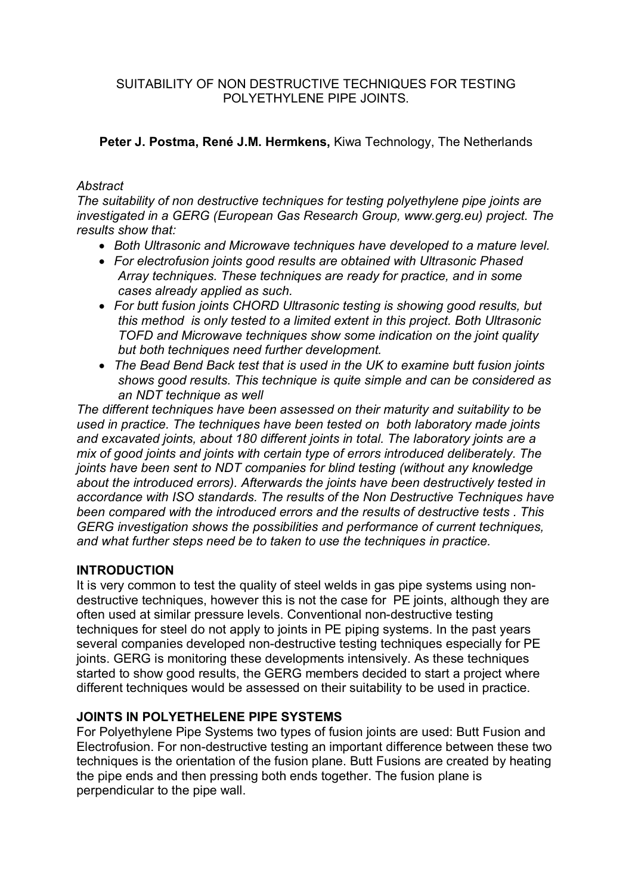SUITABILITY OF NON DESTRUCTIVE TECHNIQUES FOR TESTING POLYETHYLENE PIPE JOINTS.

## **Peter J. Postma, René J.M. Hermkens,** Kiwa Technology, The Netherlands

## *Abstract*

*The suitability of non destructive techniques for testing polyethylene pipe joints are investigated in a GERG (European Gas Research Group, www.gerg.eu) project. The results show that:*

- *Both Ultrasonic and Microwave techniques have developed to a mature level.*
- *For electrofusion joints good results are obtained with Ultrasonic Phased Array techniques. These techniques are ready for practice, and in some cases already applied as such.*
- *For butt fusion joints CHORD Ultrasonic testing is showing good results, but this method is only tested to a limited extent in this project. Both Ultrasonic TOFD and Microwave techniques show some indication on the joint quality but both techniques need further development.*
- *The Bead Bend Back test that is used in the UK to examine butt fusion joints shows good results. This technique is quite simple and can be considered as an NDT technique as well*

*The different techniques have been assessed on their maturity and suitability to be used in practice. The techniques have been tested on both laboratory made joints and excavated joints, about 180 different joints in total. The laboratory joints are a mix of good joints and joints with certain type of errors introduced deliberately. The joints have been sent to NDT companies for blind testing (without any knowledge about the introduced errors). Afterwards the joints have been destructively tested in accordance with ISO standards. The results of the Non Destructive Techniques have been compared with the introduced errors and the results of destructive tests . This GERG investigation shows the possibilities and performance of current techniques, and what further steps need be to taken to use the techniques in practice.*

# **INTRODUCTION**

It is very common to test the quality of steel welds in gas pipe systems using nondestructive techniques, however this is not the case for PE joints, although they are often used at similar pressure levels. Conventional non-destructive testing techniques for steel do not apply to joints in PE piping systems. In the past years several companies developed non-destructive testing techniques especially for PE joints. GERG is monitoring these developments intensively. As these techniques started to show good results, the GERG members decided to start a project where different techniques would be assessed on their suitability to be used in practice.

# **JOINTS IN POLYETHELENE PIPE SYSTEMS**

For Polyethylene Pipe Systems two types of fusion joints are used: Butt Fusion and Electrofusion. For non-destructive testing an important difference between these two techniques is the orientation of the fusion plane. Butt Fusions are created by heating the pipe ends and then pressing both ends together. The fusion plane is perpendicular to the pipe wall.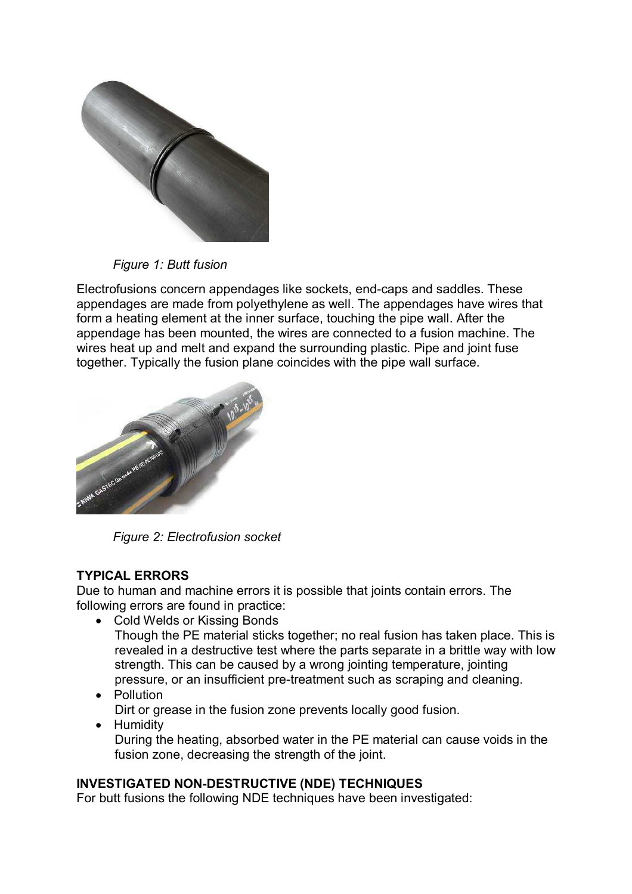

*Figure 1: Butt fusion*

Electrofusions concern appendages like sockets, end-caps and saddles. These appendages are made from polyethylene as well. The appendages have wires that form a heating element at the inner surface, touching the pipe wall. After the appendage has been mounted, the wires are connected to a fusion machine. The wires heat up and melt and expand the surrounding plastic. Pipe and joint fuse together. Typically the fusion plane coincides with the pipe wall surface.



*Figure 2: Electrofusion socket*

# **TYPICAL ERRORS**

Due to human and machine errors it is possible that joints contain errors. The following errors are found in practice:

Cold Welds or Kissing Bonds

Though the PE material sticks together; no real fusion has taken place. This is revealed in a destructive test where the parts separate in a brittle way with low strength. This can be caused by a wrong jointing temperature, jointing pressure, or an insufficient pre-treatment such as scraping and cleaning.

- Pollution Dirt or grease in the fusion zone prevents locally good fusion.
- Humidity During the heating, absorbed water in the PE material can cause voids in the fusion zone, decreasing the strength of the joint.

# **INVESTIGATED NON-DESTRUCTIVE (NDE) TECHNIQUES**

For butt fusions the following NDE techniques have been investigated: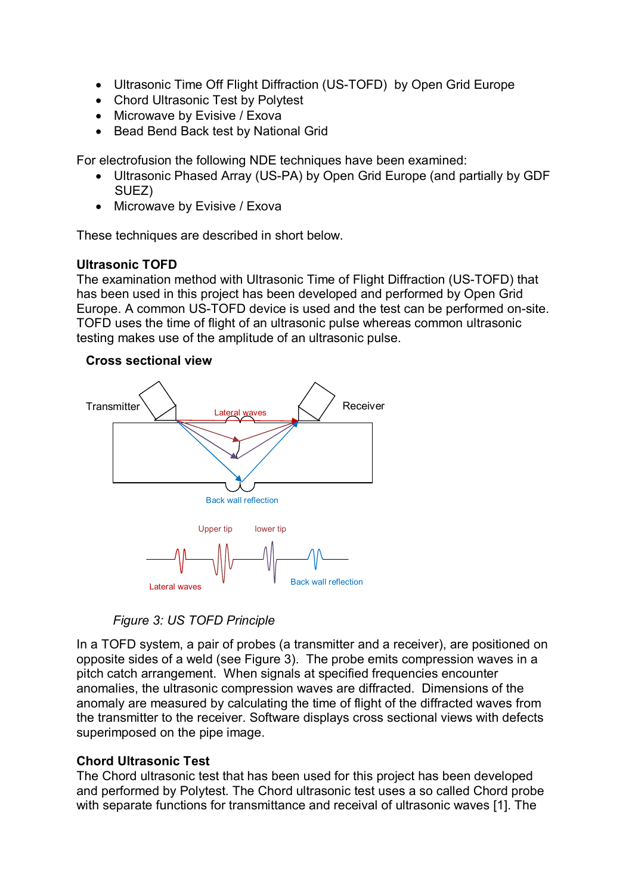- Ultrasonic Time Off Flight Diffraction (US-TOFD) by Open Grid Europe
- Chord Ultrasonic Test by Polytest
- Microwave by Evisive / Exova
- Bead Bend Back test by National Grid

For electrofusion the following NDE techniques have been examined:

- Ultrasonic Phased Array (US-PA) by Open Grid Europe (and partially by GDF SUEZ)
- Microwave by Evisive / Exova

These techniques are described in short below.

### **Ultrasonic TOFD**

The examination method with Ultrasonic Time of Flight Diffraction (US-TOFD) that has been used in this project has been developed and performed by Open Grid Europe. A common US-TOFD device is used and the test can be performed on-site. TOFD uses the time of flight of an ultrasonic pulse whereas common ultrasonic testing makes use of the amplitude of an ultrasonic pulse.

### **Cross sectional view**



*Figure 3: US TOFD Principle*

In a TOFD system, a pair of probes (a transmitter and a receiver), are positioned on opposite sides of a weld (see Figure 3). The probe emits compression waves in a pitch catch arrangement. When signals at specified frequencies encounter anomalies, the ultrasonic compression waves are diffracted. Dimensions of the anomaly are measured by calculating the time of flight of the diffracted waves from the transmitter to the receiver. Software displays cross sectional views with defects superimposed on the pipe image.

# **Chord Ultrasonic Test**

The Chord ultrasonic test that has been used for this project has been developed and performed by Polytest. The Chord ultrasonic test uses a so called Chord probe with separate functions for transmittance and receival of ultrasonic waves [1]. The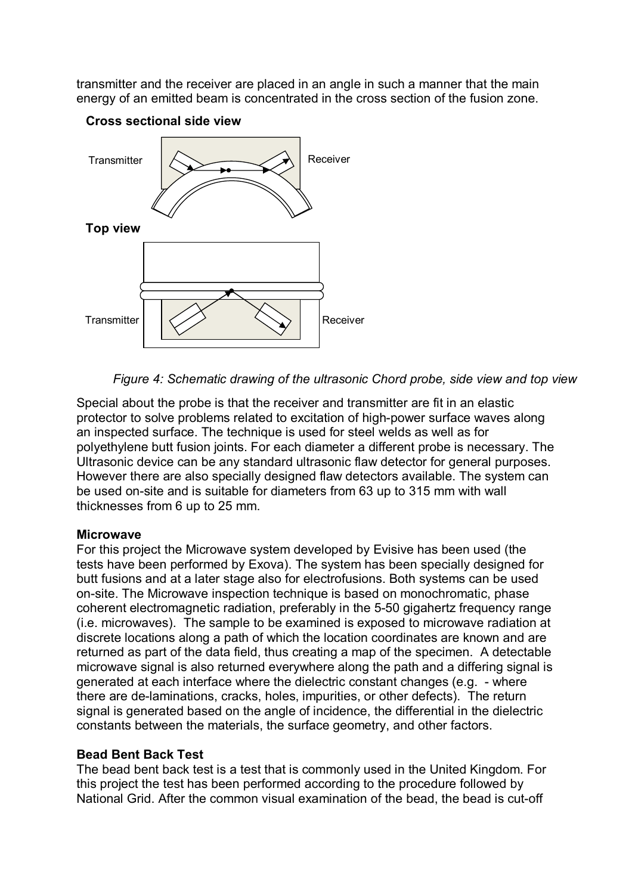transmitter and the receiver are placed in an angle in such a manner that the main energy of an emitted beam is concentrated in the cross section of the fusion zone.



**Cross sectional side view**

*Figure 4: Schematic drawing of the ultrasonic Chord probe, side view and top view*

Special about the probe is that the receiver and transmitter are fit in an elastic protector to solve problems related to excitation of high-power surface waves along an inspected surface. The technique is used for steel welds as well as for polyethylene butt fusion joints. For each diameter a different probe is necessary. The Ultrasonic device can be any standard ultrasonic flaw detector for general purposes. However there are also specially designed flaw detectors available. The system can be used on-site and is suitable for diameters from 63 up to 315 mm with wall thicknesses from 6 up to 25 mm.

### **Microwave**

For this project the Microwave system developed by Evisive has been used (the tests have been performed by Exova). The system has been specially designed for butt fusions and at a later stage also for electrofusions. Both systems can be used on-site. The Microwave inspection technique is based on monochromatic, phase coherent electromagnetic radiation, preferably in the 5-50 gigahertz frequency range (i.e. microwaves). The sample to be examined is exposed to microwave radiation at discrete locations along a path of which the location coordinates are known and are returned as part of the data field, thus creating a map of the specimen. A detectable microwave signal is also returned everywhere along the path and a differing signal is generated at each interface where the dielectric constant changes (e.g. - where there are de-laminations, cracks, holes, impurities, or other defects). The return signal is generated based on the angle of incidence, the differential in the dielectric constants between the materials, the surface geometry, and other factors.

# **Bead Bent Back Test**

The bead bent back test is a test that is commonly used in the United Kingdom. For this project the test has been performed according to the procedure followed by National Grid. After the common visual examination of the bead, the bead is cut-off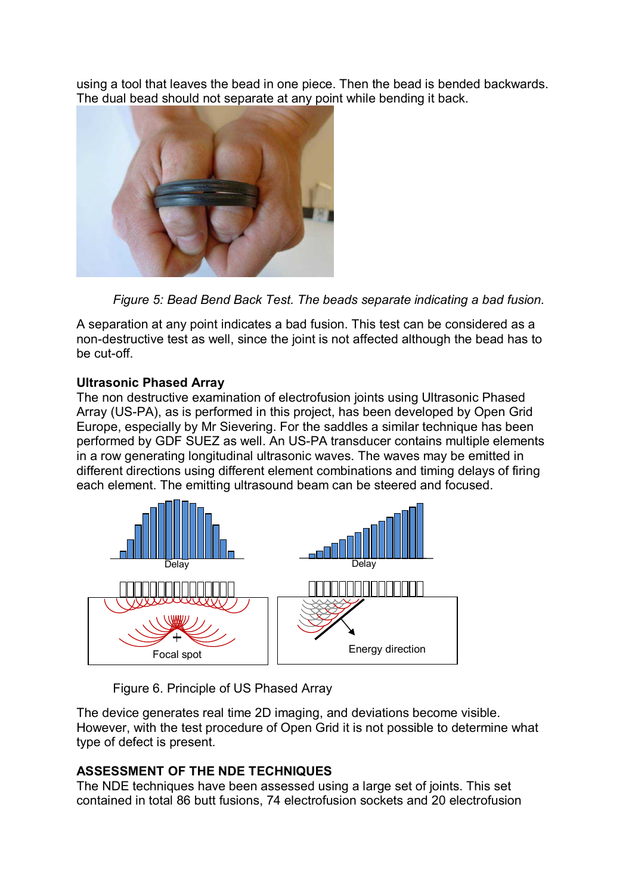using a tool that leaves the bead in one piece. Then the bead is bended backwards. The dual bead should not separate at any point while bending it back.



*Figure 5: Bead Bend Back Test. The beads separate indicating a bad fusion.*

A separation at any point indicates a bad fusion. This test can be considered as a non-destructive test as well, since the joint is not affected although the bead has to be cut-off.

# **Ultrasonic Phased Array**

The non destructive examination of electrofusion joints using Ultrasonic Phased Array (US-PA), as is performed in this project, has been developed by Open Grid Europe, especially by Mr Sievering. For the saddles a similar technique has been performed by GDF SUEZ as well. An US-PA transducer contains multiple elements in a row generating longitudinal ultrasonic waves. The waves may be emitted in different directions using different element combinations and timing delays of firing each element. The emitting ultrasound beam can be steered and focused.



Figure 6. Principle of US Phased Array

The device generates real time 2D imaging, and deviations become visible. However, with the test procedure of Open Grid it is not possible to determine what type of defect is present.

# **ASSESSMENT OF THE NDE TECHNIQUES**

The NDE techniques have been assessed using a large set of joints. This set contained in total 86 butt fusions, 74 electrofusion sockets and 20 electrofusion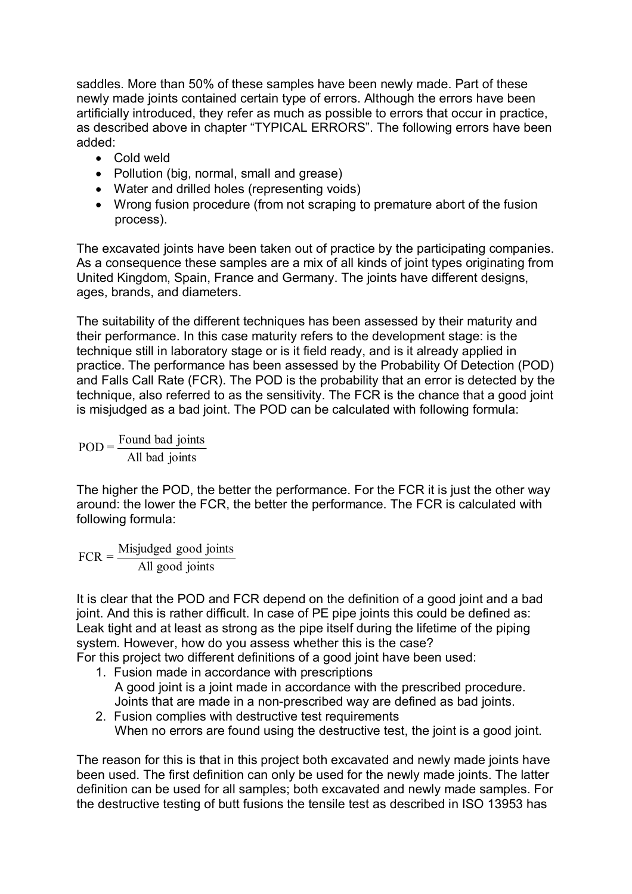saddles. More than 50% of these samples have been newly made. Part of these newly made joints contained certain type of errors. Although the errors have been artificially introduced, they refer as much as possible to errors that occur in practice, as described above in chapter "TYPICAL ERRORS". The following errors have been added:

- Cold weld
- Pollution (big, normal, small and grease)
- Water and drilled holes (representing voids)
- Wrong fusion procedure (from not scraping to premature abort of the fusion process).

The excavated joints have been taken out of practice by the participating companies. As a consequence these samples are a mix of all kinds of joint types originating from United Kingdom, Spain, France and Germany. The joints have different designs, ages, brands, and diameters.

The suitability of the different techniques has been assessed by their maturity and their performance. In this case maturity refers to the development stage: is the technique still in laboratory stage or is it field ready, and is it already applied in practice. The performance has been assessed by the Probability Of Detection (POD) and Falls Call Rate (FCR). The POD is the probability that an error is detected by the technique, also referred to as the sensitivity. The FCR is the chance that a good joint is misjudged as a bad joint. The POD can be calculated with following formula:

All bad joints  $POD = \frac{Found\ bad\ joints}{1.11 \cdot 1.11 \cdot 1.11 \cdot 1.11 \cdot 1.11 \cdot 1.11 \cdot 1.11 \cdot 1.11 \cdot 1.11 \cdot 1.11 \cdot 1.11 \cdot 1.11 \cdot 1.11 \cdot 1.11 \cdot 1.11 \cdot 1.11 \cdot 1.11 \cdot 1.11 \cdot 1.11 \cdot 1.11 \cdot 1.11 \cdot 1.11 \cdot 1.11 \cdot 1.11 \cdot 1.11 \cdot 1.11 \cdot 1.11 \cdot 1.11 \cdot 1.11 \cdot 1.11 \$ 

The higher the POD, the better the performance. For the FCR it is just the other way around: the lower the FCR, the better the performance. The FCR is calculated with following formula:

All good joints  $FCR =$  Misjudged good joints

It is clear that the POD and FCR depend on the definition of a good joint and a bad joint. And this is rather difficult. In case of PE pipe joints this could be defined as: Leak tight and at least as strong as the pipe itself during the lifetime of the piping system. However, how do you assess whether this is the case?

For this project two different definitions of a good joint have been used:

- 1. Fusion made in accordance with prescriptions A good joint is a joint made in accordance with the prescribed procedure. Joints that are made in a non-prescribed way are defined as bad joints.
- 2. Fusion complies with destructive test requirements When no errors are found using the destructive test, the joint is a good joint.

The reason for this is that in this project both excavated and newly made joints have been used. The first definition can only be used for the newly made joints. The latter definition can be used for all samples; both excavated and newly made samples. For the destructive testing of butt fusions the tensile test as described in ISO 13953 has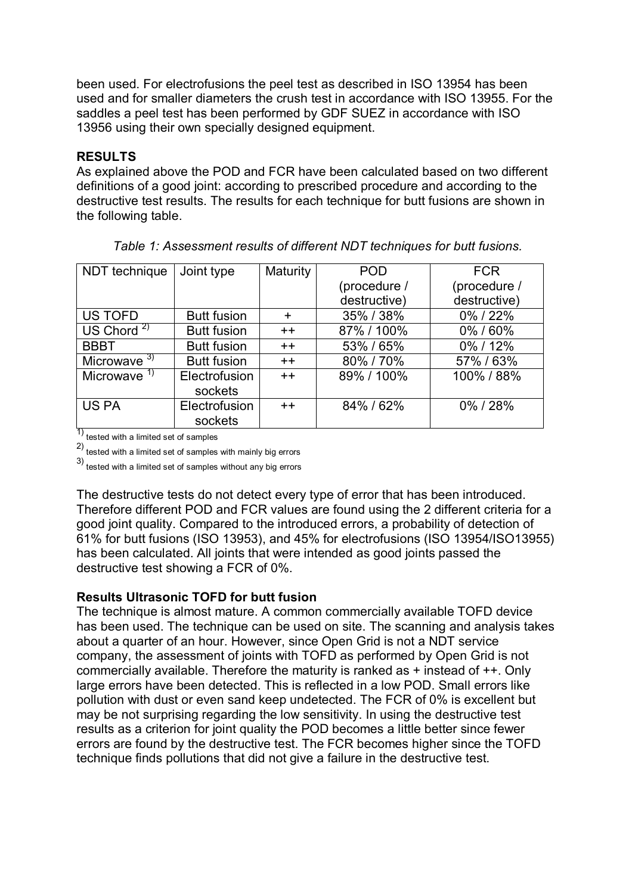been used. For electrofusions the peel test as described in ISO 13954 has been used and for smaller diameters the crush test in accordance with ISO 13955. For the saddles a peel test has been performed by GDF SUEZ in accordance with ISO 13956 using their own specially designed equipment.

## **RESULTS**

As explained above the POD and FCR have been calculated based on two different definitions of a good joint: according to prescribed procedure and according to the destructive test results. The results for each technique for butt fusions are shown in the following table.

| NDT technique  | Joint type         | Maturity  | <b>POD</b>   | <b>FCR</b>   |
|----------------|--------------------|-----------|--------------|--------------|
|                |                    |           | (procedure / | (procedure / |
|                |                    |           | destructive) | destructive) |
| <b>US TOFD</b> | <b>Butt fusion</b> | $\ddot{}$ | 35% / 38%    | 0%/22%       |
| US Chord $2)$  | <b>Butt fusion</b> | $++$      | 87% / 100%   | 0%/60%       |
| <b>BBBT</b>    | <b>Butt fusion</b> | $++$      | 53% / 65%    | 0%/12%       |
| Microwave $3)$ | <b>Butt fusion</b> | $++$      | 80%/70%      | 57%/63%      |
| Microwave $1$  | Electrofusion      | $++$      | 89% / 100%   | 100% / 88%   |
|                | sockets            |           |              |              |
| <b>US PA</b>   | Electrofusion      | $++$      | 84% / 62%    | 0%/28%       |
| ग∖             | sockets            |           |              |              |

*Table 1: Assessment results of different NDT techniques for butt fusions.* 

1) tested with a limited set of samples

 $^{2)}$  tested with a limited set of samples with mainly big errors

3) tested with a limited set of samples without any big errors

The destructive tests do not detect every type of error that has been introduced. Therefore different POD and FCR values are found using the 2 different criteria for a good joint quality. Compared to the introduced errors, a probability of detection of 61% for butt fusions (ISO 13953), and 45% for electrofusions (ISO 13954/ISO13955) has been calculated. All joints that were intended as good joints passed the destructive test showing a FCR of 0%.

### **Results Ultrasonic TOFD for butt fusion**

The technique is almost mature. A common commercially available TOFD device has been used. The technique can be used on site. The scanning and analysis takes about a quarter of an hour. However, since Open Grid is not a NDT service company, the assessment of joints with TOFD as performed by Open Grid is not commercially available. Therefore the maturity is ranked as + instead of ++. Only large errors have been detected. This is reflected in a low POD. Small errors like pollution with dust or even sand keep undetected. The FCR of 0% is excellent but may be not surprising regarding the low sensitivity. In using the destructive test results as a criterion for joint quality the POD becomes a little better since fewer errors are found by the destructive test. The FCR becomes higher since the TOFD technique finds pollutions that did not give a failure in the destructive test.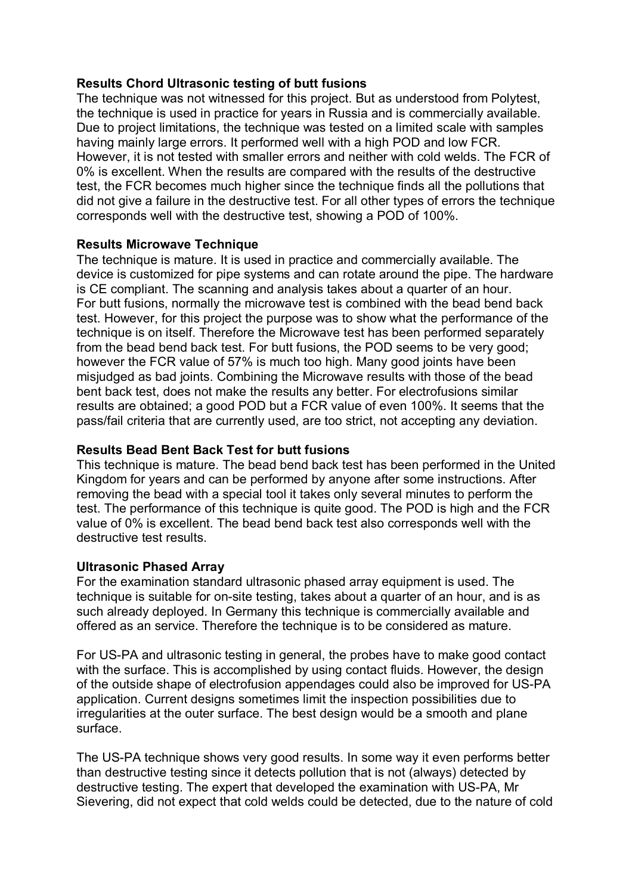## **Results Chord Ultrasonic testing of butt fusions**

The technique was not witnessed for this project. But as understood from Polytest, the technique is used in practice for years in Russia and is commercially available. Due to project limitations, the technique was tested on a limited scale with samples having mainly large errors. It performed well with a high POD and low FCR. However, it is not tested with smaller errors and neither with cold welds. The FCR of 0% is excellent. When the results are compared with the results of the destructive test, the FCR becomes much higher since the technique finds all the pollutions that did not give a failure in the destructive test. For all other types of errors the technique corresponds well with the destructive test, showing a POD of 100%.

### **Results Microwave Technique**

The technique is mature. It is used in practice and commercially available. The device is customized for pipe systems and can rotate around the pipe. The hardware is CE compliant. The scanning and analysis takes about a quarter of an hour. For butt fusions, normally the microwave test is combined with the bead bend back test. However, for this project the purpose was to show what the performance of the technique is on itself. Therefore the Microwave test has been performed separately from the bead bend back test. For butt fusions, the POD seems to be very good; however the FCR value of 57% is much too high. Many good joints have been misjudged as bad joints. Combining the Microwave results with those of the bead bent back test, does not make the results any better. For electrofusions similar results are obtained; a good POD but a FCR value of even 100%. It seems that the pass/fail criteria that are currently used, are too strict, not accepting any deviation.

### **Results Bead Bent Back Test for butt fusions**

This technique is mature. The bead bend back test has been performed in the United Kingdom for years and can be performed by anyone after some instructions. After removing the bead with a special tool it takes only several minutes to perform the test. The performance of this technique is quite good. The POD is high and the FCR value of 0% is excellent. The bead bend back test also corresponds well with the destructive test results.

### **Ultrasonic Phased Array**

For the examination standard ultrasonic phased array equipment is used. The technique is suitable for on-site testing, takes about a quarter of an hour, and is as such already deployed. In Germany this technique is commercially available and offered as an service. Therefore the technique is to be considered as mature.

For US-PA and ultrasonic testing in general, the probes have to make good contact with the surface. This is accomplished by using contact fluids. However, the design of the outside shape of electrofusion appendages could also be improved for US-PA application. Current designs sometimes limit the inspection possibilities due to irregularities at the outer surface. The best design would be a smooth and plane surface.

The US-PA technique shows very good results. In some way it even performs better than destructive testing since it detects pollution that is not (always) detected by destructive testing. The expert that developed the examination with US-PA, Mr Sievering, did not expect that cold welds could be detected, due to the nature of cold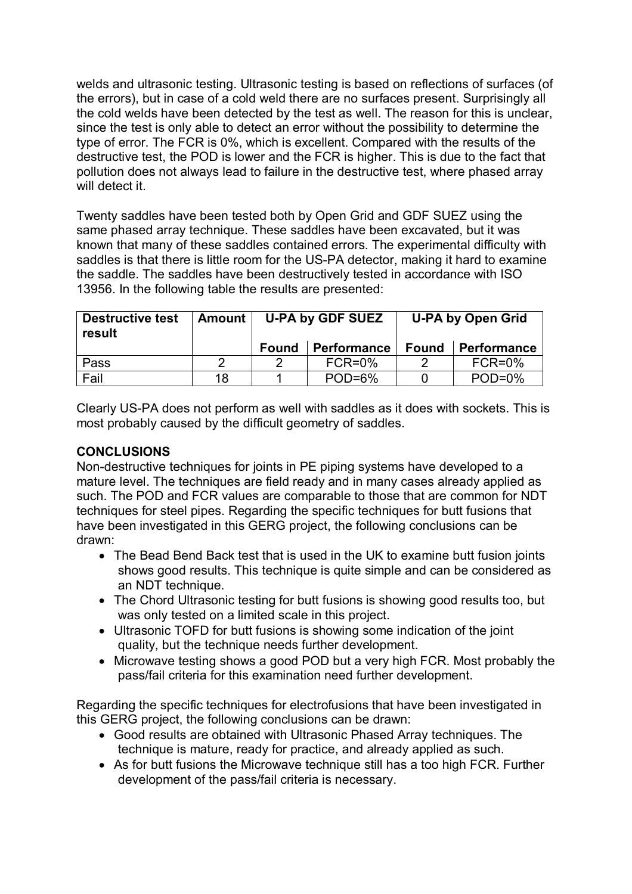welds and ultrasonic testing. Ultrasonic testing is based on reflections of surfaces (of the errors), but in case of a cold weld there are no surfaces present. Surprisingly all the cold welds have been detected by the test as well. The reason for this is unclear, since the test is only able to detect an error without the possibility to determine the type of error. The FCR is 0%, which is excellent. Compared with the results of the destructive test, the POD is lower and the FCR is higher. This is due to the fact that pollution does not always lead to failure in the destructive test, where phased array will detect it.

Twenty saddles have been tested both by Open Grid and GDF SUEZ using the same phased array technique. These saddles have been excavated, but it was known that many of these saddles contained errors. The experimental difficulty with saddles is that there is little room for the US-PA detector, making it hard to examine the saddle. The saddles have been destructively tested in accordance with ISO 13956. In the following table the results are presented:

| <b>Destructive test</b><br>result | <b>Amount</b> | U-PA by GDF SUEZ |                    | <b>U-PA by Open Grid</b> |             |
|-----------------------------------|---------------|------------------|--------------------|--------------------------|-------------|
|                                   |               | Found            | <b>Performance</b> | <b>Found</b>             | Performance |
| Pass                              | ົ             | റ                | $FCR=0%$           | າ                        | $FCR=0%$    |
| Fail                              | 18            |                  | $POD=6%$           |                          | $POD=0%$    |

Clearly US-PA does not perform as well with saddles as it does with sockets. This is most probably caused by the difficult geometry of saddles.

# **CONCLUSIONS**

Non-destructive techniques for joints in PE piping systems have developed to a mature level. The techniques are field ready and in many cases already applied as such. The POD and FCR values are comparable to those that are common for NDT techniques for steel pipes. Regarding the specific techniques for butt fusions that have been investigated in this GERG project, the following conclusions can be drawn:

- The Bead Bend Back test that is used in the UK to examine butt fusion joints shows good results. This technique is quite simple and can be considered as an NDT technique.
- The Chord Ultrasonic testing for butt fusions is showing good results too, but was only tested on a limited scale in this project.
- Ultrasonic TOFD for butt fusions is showing some indication of the joint quality, but the technique needs further development.
- Microwave testing shows a good POD but a very high FCR. Most probably the pass/fail criteria for this examination need further development.

Regarding the specific techniques for electrofusions that have been investigated in this GERG project, the following conclusions can be drawn:

- Good results are obtained with Ultrasonic Phased Array techniques. The technique is mature, ready for practice, and already applied as such.
- As for butt fusions the Microwave technique still has a too high FCR. Further development of the pass/fail criteria is necessary.